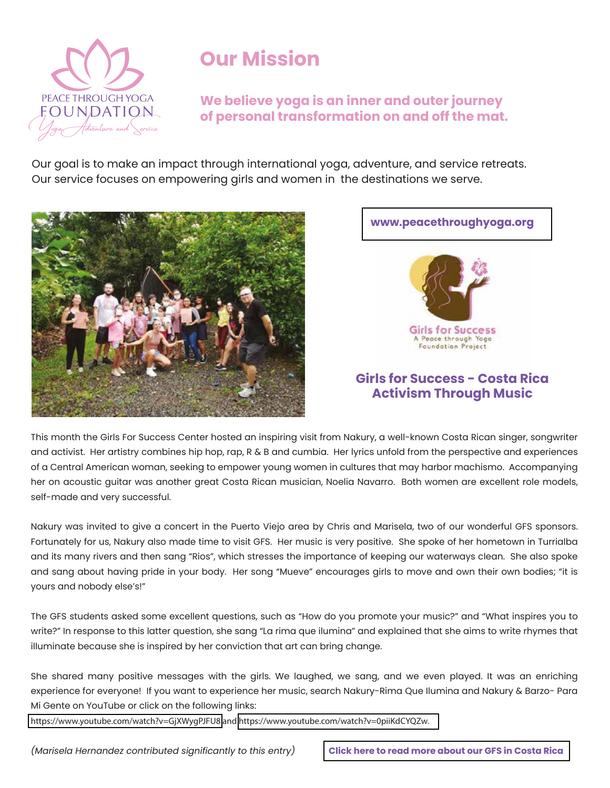

## **Our Mission**

**We believe yoga is an inner and outer journey of personal transformation on and off the mat.** 

Our goal is to make an impact through international yoga, adventure, and service retreats. Our service focuses on empowering girls and women in the destinations we serve.



#### **[www.peacethroughyoga.org](https://www.peacethroughyoga.org/)**



#### **Girls for Success - Costa Rica Activism Through Music**

This month the Girls For Success Center hosted an inspiring visit from Nakury, a well-known Costa Rican singer, songwriter and activist. Her artistry combines hip hop, rap, R & B and cumbia. Her lyrics unfold from the perspective and experiences of a Central American woman, seeking to empower young women in cultures that may harbor machismo. Accompanying her on acoustic guitar was another great Costa Rican musician, Noelia Navarro. Both women are excellent role models, self-made and very successful.

Nakury was invited to give a concert in the Puerto Viejo area by Chris and Marisela, two of our wonderful GFS sponsors. Fortunately for us, Nakury also made time to visit GFS. Her music is very positive. She spoke of her hometown in Turrialba and its many rivers and then sang "Rios", which stresses the importance of keeping our waterways clean. She also spoke and sang about having pride in your body. Her song "Mueve" encourages girls to move and own their own bodies; "it is yours and nobody else's!"

The GFS students asked some excellent questions, such as "How do you promote your music?" and "What inspires you to write?" In response to this latter question, she sang "La rima que ilumina" and explained that she aims to write rhymes that illuminate because she is inspired by her conviction that art can bring change.

She shared many positive messages with the girls. We laughed, we sang, and we even played. It was an enriching experience for everyone! If you want to experience her music, search Nakury-Rima Que Ilumina and Nakury & Barzo- Para Mi Gente on YouTube or click on the following links:

<https://www.youtube.com/watch?v=GjXWygPJFU8>and [https://www.youtube.com/watch?v=0piiKdCYQZw.](https://www.youtube.com/watch?v=0piiKdCYQZw)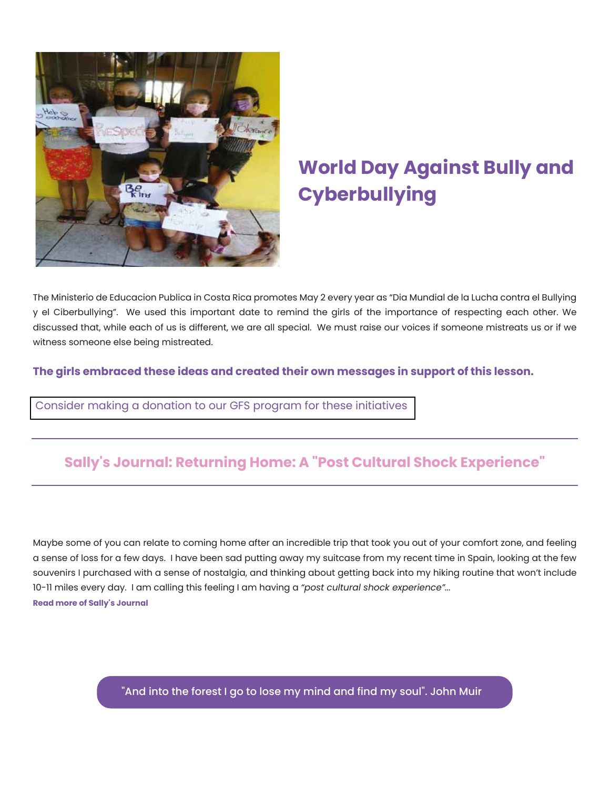

# **World Day Against Bully and Cyberbullying**

The Ministerio de Educacion Publica in Costa Rica promotes May 2 every year as "Dia Mundial de la Lucha contra el Bullying y el Ciberbullying". We used this important date to remind the girls of the importance of respecting each other. We discussed that, while each of us is different, we are all special. We must raise our voices if someone mistreats us or if we witness someone else being mistreated.

**The girls embraced these ideas and created their own messages in support of this lesson.**

[Consider making a donation to our GFS program for these initiatives](https://www.girlsforsuccess.org/donate)

## **Sally's Journal: Returning Home: A "Post Cultural Shock Experience"**

Maybe some of you can relate to coming home after an incredible trip that took you out of your comfort zone, and feeling a sense of loss for a few days. I have been sad putting away my suitcase from my recent time in Spain, looking at the few souvenirs I purchased with a sense of nostalgia, and thinking about getting back into my hiking routine that won't include 10-11 miles every day. I am calling this feeling I am having a *"post cultural shock experience"...* **Read more of Sally's Journal**

"And into the forest I go to lose my mind and find my soul". John Muir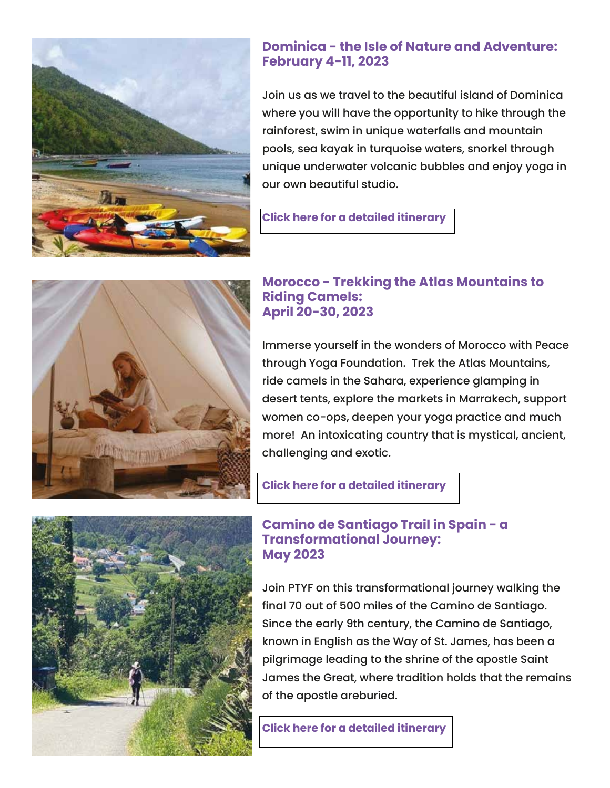

### **Dominica - the Isle of Nature and Adventure: February 4-11, 2023**

Join us as we travel to the beautiful island of Dominica where you will have the opportunity to hike through the rainforest, swim in unique waterfalls and mountain pools, sea kayak in turquoise waters, snorkel through unique underwater volcanic bubbles and enjoy yoga in our own beautiful studio.

#### **[Click here for a detailed itinerary](https://www.peacethroughyoga.org/retreat-dominica)**



#### **Morocco - Trekking the Atlas Mountains to Riding Camels: April 20-30, 2023**

Immerse yourself in the wonders of Morocco with Peace through Yoga Foundation. Trek the Atlas Mountains, ride camels in the Sahara, experience glamping in desert tents, explore the markets in Marrakech, support women co-ops, deepen your yoga practice and much more! An intoxicating country that is mystical, ancient, challenging and exotic.

#### **[Click here for a detailed itinerary](https://www.peacethroughyoga.org/retreat-morocco)**

### **Camino de Santiago Trail in Spain - a Transformational Journey: May 2023**

Join PTYF on this transformational journey walking the final 70 out of 500 miles of the Camino de Santiago. Since the early 9th century, the Camino de Santiago, known in English as the Way of St. James, has been a pilgrimage leading to the shrine of the apostle Saint James the Great, where tradition holds that the remains of the apostle areburied.

**[Click here for a detailed itinerary](https://www.peacethroughyoga.org/retreat-spain)**